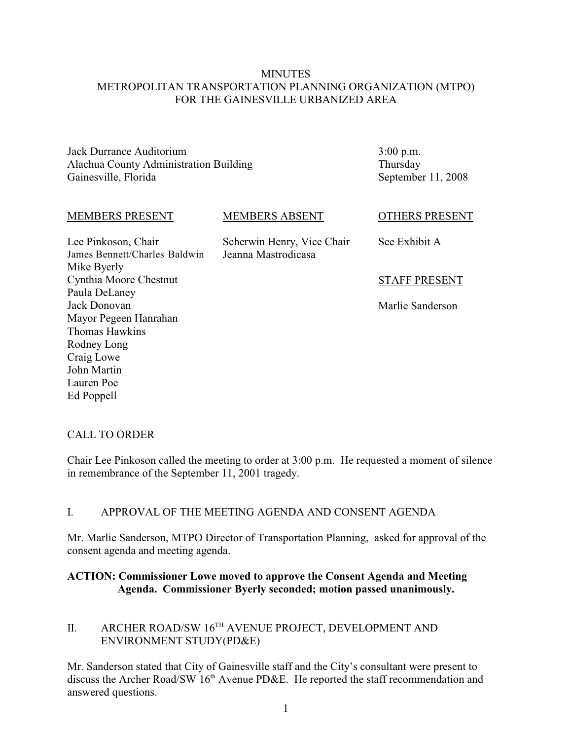#### **MINUTES** METROPOLITAN TRANSPORTATION PLANNING ORGANIZATION (MTPO) FOR THE GAINESVILLE URBANIZED AREA

Jack Durrance Auditorium Alachua County Administration Building Gainesville, Florida

3:00 p.m. Thursday September 11, 2008

#### MEMBERS PRESENT

#### MEMBERS ABSENT

Lee Pinkoson, Chair James Bennett/Charles Baldwin Mike Byerly Cynthia Moore Chestnut Paula DeLaney Jack Donovan Mayor Pegeen Hanrahan Thomas Hawkins Rodney Long Craig Lowe John Martin Lauren Poe Ed Poppell

Scherwin Henry, Vice Chair Jeanna Mastrodicasa

## OTHERS PRESENT

See Exhibit A

#### STAFF PRESENT

Marlie Sanderson

## CALL TO ORDER

Chair Lee Pinkoson called the meeting to order at 3:00 p.m. He requested a moment of silence in remembrance of the September 11, 2001 tragedy.

## I. APPROVAL OF THE MEETING AGENDA AND CONSENT AGENDA

Mr. Marlie Sanderson, MTPO Director of Transportation Planning, asked for approval of the consent agenda and meeting agenda.

#### **ACTION: Commissioner Lowe moved to approve the Consent Agenda and Meeting Agenda. Commissioner Byerly seconded; motion passed unanimously.**

## II. ARCHER ROAD/SW  $16^{TH}$  AVENUE PROJECT, DEVELOPMENT AND ENVIRONMENT STUDY(PD&E)

Mr. Sanderson stated that City of Gainesville staff and the City's consultant were present to discuss the Archer Road/SW  $16<sup>th</sup>$  Avenue PD&E. He reported the staff recommendation and answered questions.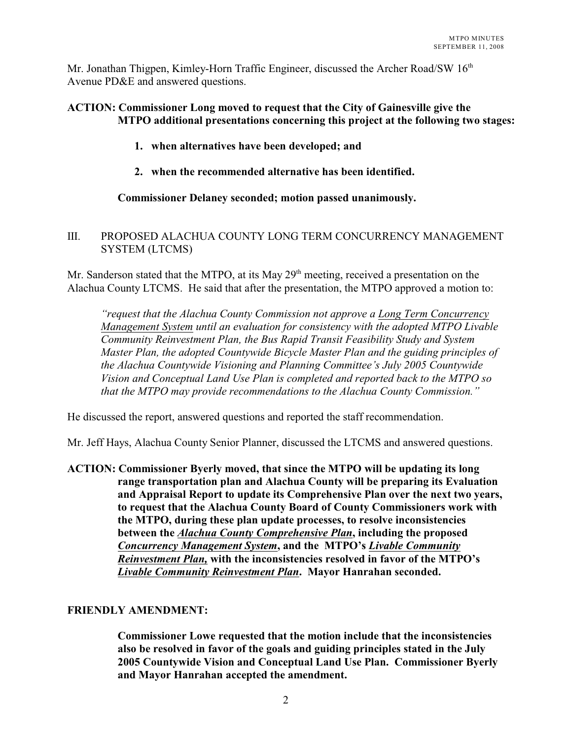Mr. Jonathan Thigpen, Kimley-Horn Traffic Engineer, discussed the Archer Road/SW 16<sup>th</sup> Avenue PD&E and answered questions.

#### **ACTION: Commissioner Long moved to request that the City of Gainesville give the MTPO additional presentations concerning this project at the following two stages:**

- **1. when alternatives have been developed; and**
- **2. when the recommended alternative has been identified.**

#### **Commissioner Delaney seconded; motion passed unanimously.**

#### III. PROPOSED ALACHUA COUNTY LONG TERM CONCURRENCY MANAGEMENT SYSTEM (LTCMS)

Mr. Sanderson stated that the MTPO, at its May  $29<sup>th</sup>$  meeting, received a presentation on the Alachua County LTCMS. He said that after the presentation, the MTPO approved a motion to:

*"request that the Alachua County Commission not approve a Long Term Concurrency Management System until an evaluation for consistency with the adopted MTPO Livable Community Reinvestment Plan, the Bus Rapid Transit Feasibility Study and System Master Plan, the adopted Countywide Bicycle Master Plan and the guiding principles of the Alachua Countywide Visioning and Planning Committee's July 2005 Countywide Vision and Conceptual Land Use Plan is completed and reported back to the MTPO so that the MTPO may provide recommendations to the Alachua County Commission."* 

He discussed the report, answered questions and reported the staff recommendation.

Mr. Jeff Hays, Alachua County Senior Planner, discussed the LTCMS and answered questions.

**ACTION: Commissioner Byerly moved, that since the MTPO will be updating its long range transportation plan and Alachua County will be preparing its Evaluation and Appraisal Report to update its Comprehensive Plan over the next two years, to request that the Alachua County Board of County Commissioners work with the MTPO, during these plan update processes, to resolve inconsistencies between the** *Alachua County Comprehensive Plan***, including the proposed** *Concurrency Management System***, and the MTPO's** *Livable Community Reinvestment Plan,* **with the inconsistencies resolved in favor of the MTPO's** *Livable Community Reinvestment Plan***. Mayor Hanrahan seconded.**

#### **FRIENDLY AMENDMENT:**

**Commissioner Lowe requested that the motion include that the inconsistencies also be resolved in favor of the goals and guiding principles stated in the July 2005 Countywide Vision and Conceptual Land Use Plan. Commissioner Byerly and Mayor Hanrahan accepted the amendment.**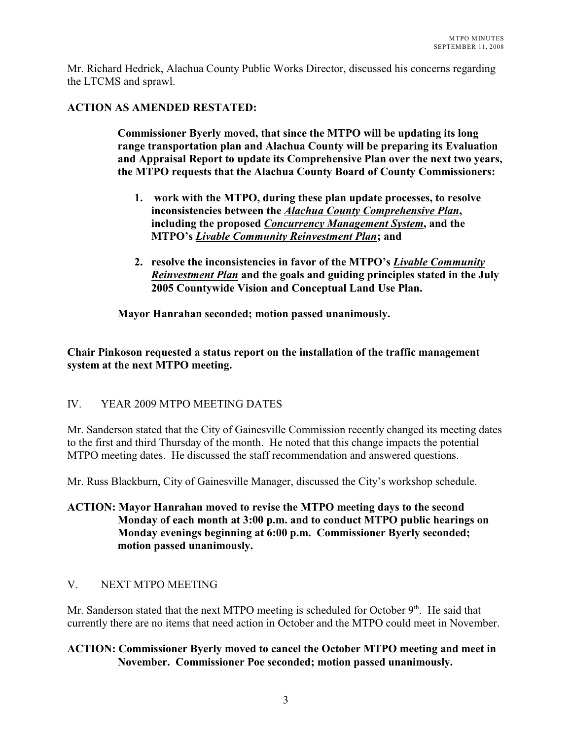Mr. Richard Hedrick, Alachua County Public Works Director, discussed his concerns regarding the LTCMS and sprawl.

#### **ACTION AS AMENDED RESTATED:**

**Commissioner Byerly moved, that since the MTPO will be updating its long range transportation plan and Alachua County will be preparing its Evaluation and Appraisal Report to update its Comprehensive Plan over the next two years, the MTPO requests that the Alachua County Board of County Commissioners:**

- **1. work with the MTPO, during these plan update processes, to resolve inconsistencies between the** *Alachua County Comprehensive Plan***, including the proposed** *Concurrency Management System***, and the MTPO's** *Livable Community Reinvestment Plan***; and**
- **2. resolve the inconsistencies in favor of the MTPO's** *Livable Community Reinvestment Plan* **and the goals and guiding principles stated in the July 2005 Countywide Vision and Conceptual Land Use Plan.**

**Mayor Hanrahan seconded; motion passed unanimously.**

## **Chair Pinkoson requested a status report on the installation of the traffic management system at the next MTPO meeting.**

## IV. YEAR 2009 MTPO MEETING DATES

Mr. Sanderson stated that the City of Gainesville Commission recently changed its meeting dates to the first and third Thursday of the month. He noted that this change impacts the potential MTPO meeting dates. He discussed the staff recommendation and answered questions.

Mr. Russ Blackburn, City of Gainesville Manager, discussed the City's workshop schedule.

#### **ACTION: Mayor Hanrahan moved to revise the MTPO meeting days to the second Monday of each month at 3:00 p.m. and to conduct MTPO public hearings on Monday evenings beginning at 6:00 p.m. Commissioner Byerly seconded; motion passed unanimously.**

## V. NEXT MTPO MEETING

Mr. Sanderson stated that the next MTPO meeting is scheduled for October  $9<sup>th</sup>$ . He said that currently there are no items that need action in October and the MTPO could meet in November.

## **ACTION: Commissioner Byerly moved to cancel the October MTPO meeting and meet in November. Commissioner Poe seconded; motion passed unanimously.**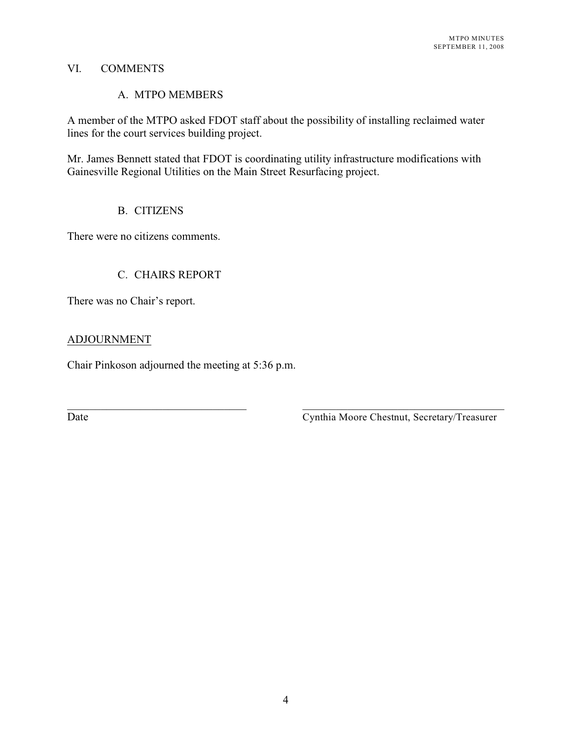#### VI. COMMENTS

#### A. MTPO MEMBERS

A member of the MTPO asked FDOT staff about the possibility of installing reclaimed water lines for the court services building project.

Mr. James Bennett stated that FDOT is coordinating utility infrastructure modifications with Gainesville Regional Utilities on the Main Street Resurfacing project.

\_\_\_\_\_\_\_\_\_\_\_\_\_\_\_\_\_\_\_\_\_\_\_\_\_\_\_\_\_\_\_\_ \_\_\_\_\_\_\_\_\_\_\_\_\_\_\_\_\_\_\_\_\_\_\_\_\_\_\_\_\_\_\_\_\_\_\_\_

## B. CITIZENS

There were no citizens comments.

## C. CHAIRS REPORT

There was no Chair's report.

## ADJOURNMENT

Chair Pinkoson adjourned the meeting at 5:36 p.m.

Date Cynthia Moore Chestnut, Secretary/Treasurer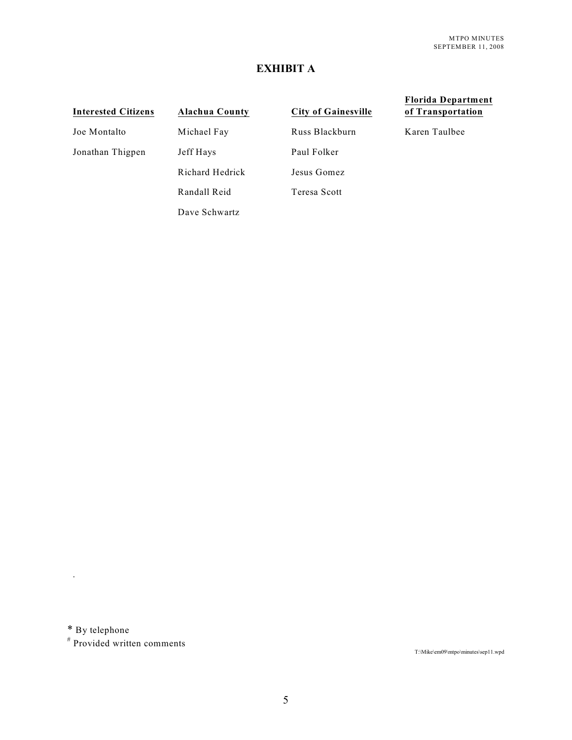## **EXHIBIT A**

# **Interested Citizens Alachua County City of Gainesville Florida Department of Transportation** Joe Montalto Michael Fay Russ Blackburn Karen Taulbee Jonathan Thigpen Jeff Hays Paul Folker Richard Hedrick Jesus Gomez Randall Reid Teresa Scott Dave Schwartz

\* By telephone

.

 $#$  Provided written comments

T:\Mike\em09\mtpo\minutes\sep11.wpd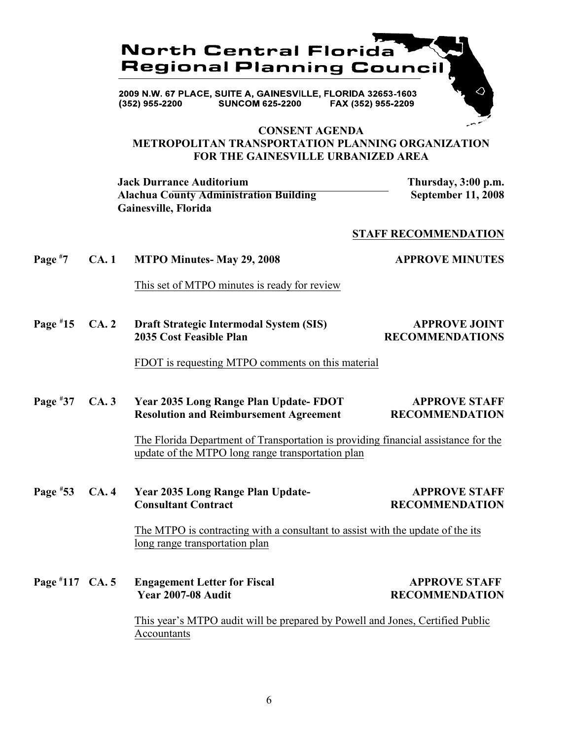

2009 N.W. 67 PLACE, SUITE A, GAINESVILLE, FLORIDA 32653-1603 **SUNCOM 625-2200** FAX (352) 955-2209 (352) 955-2200

#### **CONSENT AGENDA**

# **METROPOLITAN TRANSPORTATION PLANNING ORGANIZATION FOR THE GAINESVILLE URBANIZED AREA**

**Jack Durrance Auditorium Thursday, 3:00 p.m. Alachua County Administration Building September 11, 2008 Gainesville, Florida**

#### **STAFF RECOMMENDATION**

**Page**  $*7$  **CA. 1 MTPO Minutes- May 29, 2008 APPROVE MINUTES** 

This set of MTPO minutes is ready for review

**Page**  $*15$  **CA. 2 Draft Strategic Intermodal System (SIS) APPROVE JOINT 2035 Cost Feasible Plan RECOMMENDATIONS**

#### FDOT is requesting MTPO comments on this material

## **Page**  $*37$  **CA. 3** Year 2035 Long Range Plan Update- **FDOT APPROVE STAFF Resolution and Reimbursement Agreement RECOMMENDATION**

The Florida Department of Transportation is providing financial assistance for the update of the MTPO long range transportation plan

**Page**  $*53$  **CA. 4 Year 2035 Long Range Plan Update- APPROVE STAFF Consultant Contract RECOMMENDATION**

> The MTPO is contracting with a consultant to assist with the update of the its long range transportation plan

**Page #117** CA. 5 **Engagement Letter for Fiscal APPROVE STAFF APPROVE STAFF Page 1007-08** And **it** 

**Year 2007-08 Audit RECOMMENDATION**

This year's MTPO audit will be prepared by Powell and Jones, Certified Public Accountants